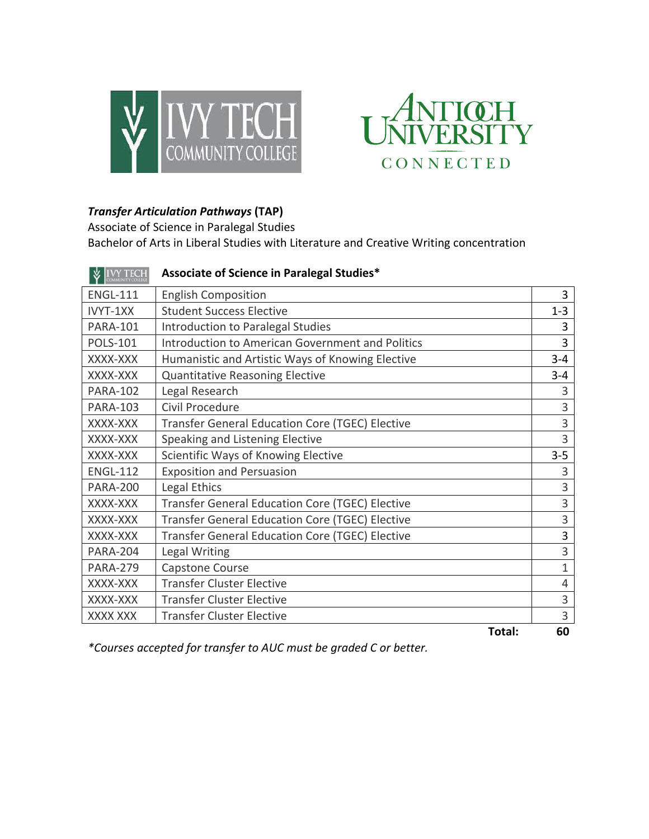



## *Transfer Articulation Pathways* **(TAP)**

Associate of Science in Paralegal Studies Bachelor of Arts in Liberal Studies with Literature and Creative Writing concentration

| <b>IVY TECH</b> | Associate of Science in Paralegal Studies*             |                |
|-----------------|--------------------------------------------------------|----------------|
| <b>ENGL-111</b> | <b>English Composition</b>                             | 3              |
| IVYT-1XX        | <b>Student Success Elective</b>                        | $1 - 3$        |
| <b>PARA-101</b> | Introduction to Paralegal Studies                      | 3              |
| <b>POLS-101</b> | Introduction to American Government and Politics       | 3              |
| XXXX-XXX        | Humanistic and Artistic Ways of Knowing Elective       | $3 - 4$        |
| XXXX-XXX        | <b>Quantitative Reasoning Elective</b>                 | $3 - 4$        |
| <b>PARA-102</b> | Legal Research                                         | 3              |
| <b>PARA-103</b> | Civil Procedure                                        | 3              |
| XXXX-XXX        | <b>Transfer General Education Core (TGEC) Elective</b> | 3              |
| XXXX-XXX        | Speaking and Listening Elective                        | 3              |
| XXXX-XXX        | Scientific Ways of Knowing Elective                    | $3 - 5$        |
| <b>ENGL-112</b> | <b>Exposition and Persuasion</b>                       | 3              |
| <b>PARA-200</b> | Legal Ethics                                           | 3              |
| XXXX-XXX        | Transfer General Education Core (TGEC) Elective        | 3              |
| XXXX-XXX        | Transfer General Education Core (TGEC) Elective        | 3              |
| XXXX-XXX        | Transfer General Education Core (TGEC) Elective        | 3              |
| <b>PARA-204</b> | Legal Writing                                          | 3              |
| <b>PARA-279</b> | Capstone Course                                        | $\mathbf{1}$   |
| XXXX-XXX        | <b>Transfer Cluster Elective</b>                       | $\overline{4}$ |
| XXXX-XXX        | <b>Transfer Cluster Elective</b>                       | 3              |
| XXXX XXX        | <b>Transfer Cluster Elective</b>                       | 3              |
|                 | Total:                                                 | 60             |

*\*Courses accepted for transfer to AUC must be graded C or better.*